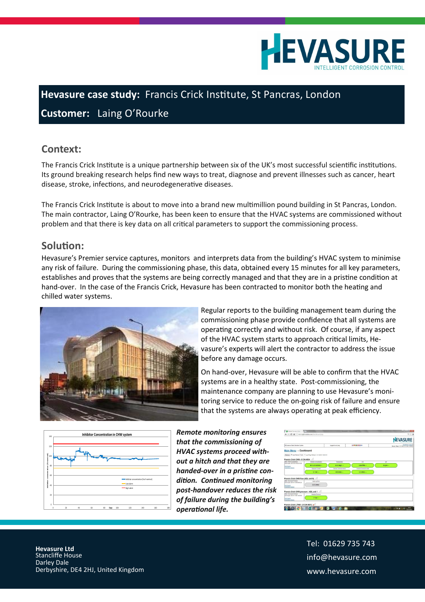

## **Hevasure case study:** Francis Crick Institute, St Pancras, London

**Customer:** Laing O'Rourke

## **Context:**

The Francis Crick Institute is a unique partnership between six of the UK's most successful scientific institutions. Its ground breaking research helps find new ways to treat, diagnose and prevent illnesses such as cancer, heart disease, stroke, infections, and neurodegenerative diseases.

The Francis Crick Institute is about to move into a brand new multimillion pound building in St Pancras, London. The main contractor, Laing O'Rourke, has been keen to ensure that the HVAC systems are commissioned without problem and that there is key data on all critical parameters to support the commissioning process.

## **Solution:**

Hevasure's Premier service captures, monitors and interprets data from the building's HVAC system to minimise any risk of failure. During the commissioning phase, this data, obtained every 15 minutes for all key parameters, establishes and proves that the systems are being correctly managed and that they are in a pristine condition at hand-over. In the case of the Francis Crick, Hevasure has been contracted to monitor both the heating and chilled water systems.



Regular reports to the building management team during the commissioning phase provide confidence that all systems are operating correctly and without risk. Of course, if any aspect of the HVAC system starts to approach critical limits, Hevasure's experts will alert the contractor to address the issue before any damage occurs.

On hand-over, Hevasure will be able to confirm that the HVAC systems are in a healthy state. Post-commissioning, the maintenance company are planning to use Hevasure's monitoring service to reduce the on-going risk of failure and ensure that the systems are always operating at peak efficiency.



*Remote monitoring ensures that the commissioning of HVAC systems proceed without a hitch and that they are handed-over in a pristine condition. Continued monitoring post-handover reduces the risk of failure during the building's operational life.*

|                                                                                                              |                                                                          |                       |                         | <b>HEVASURE</b>                                        |
|--------------------------------------------------------------------------------------------------------------|--------------------------------------------------------------------------|-----------------------|-------------------------|--------------------------------------------------------|
| RELigne a Data Collection System                                                                             |                                                                          | Locord in actions     | ※無理はエー                  | Feedback Logosf<br>Server Time 11/11/2015 10:40:13 GMT |
| Main Menu → Dashboard<br>Francis Crick CHW - 8 CIA #004                                                      | Refresh   R Auto Rebech   Emin   Y Last Flege Refresh 1575/2012 16:28:16 |                       |                         |                                                        |
| <b>EMPT 1505510 MARINA</b><br>Last Login: 2015-18-19 00:15:00<br>EditDetels<br><b>Instalation Details</b>    | Inhibitor concentration                                                  | Temperature           | DO                      | $\overline{1}$                                         |
|                                                                                                              | \$4% of nominal --                                                       | 23.0 deg C --         | 0.06 PPM --             | $3.2$ aH $-$                                           |
|                                                                                                              | Galvanic Current                                                         | Crevica Compose inner | Crevica Corresion outer |                                                        |
|                                                                                                              | $0.1$ mA $-$                                                             | 4.5 ohms --           | 3.3 ohms --             |                                                        |
| Francis Crick CHW flow (ADL unit 9)                                                                          |                                                                          |                       |                         |                                                        |
| <b>THE ISSUED TOWN</b><br>Lest Login: 2015-11-89 08:55:23<br><b>EditDates</b><br><b>Installation Details</b> | make on Fine                                                             |                       |                         |                                                        |
|                                                                                                              | 2.22 Litres :                                                            |                       |                         |                                                        |
| Francis Crick CHW pressure - ADL unit 1                                                                      |                                                                          |                       |                         |                                                        |
| <b>BUSINESS CONCEPT THAT</b><br>East Login: 2015-11-88 14:20:00<br>EditDetein<br><b>Installation Evrolin</b> | <b>Balaba Pressure</b>                                                   |                       |                         |                                                        |
|                                                                                                              | $1.7$ bar $\cdots$                                                       |                       |                         |                                                        |

Tel: 01629 735 743 info@hevasure.com www.hevasure.com